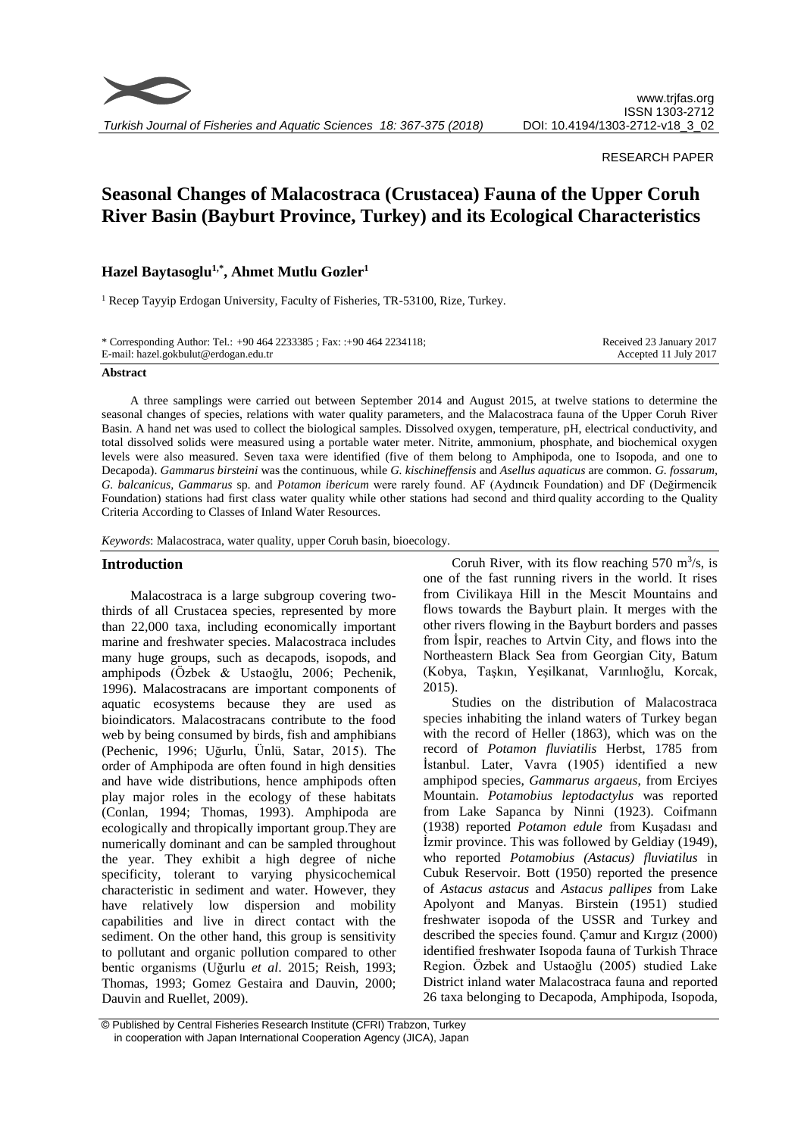

*Turkish Journal of Fisheries and Aquatic Sciences 18: 367-375 (2018)*

## RESEARCH PAPER

# **Seasonal Changes of Malacostraca (Crustacea) Fauna of the Upper Coruh River Basin (Bayburt Province, Turkey) and its Ecological Characteristics**

# **Hazel Baytasoglu1,\*, Ahmet Mutlu Gozler<sup>1</sup>**

<sup>1</sup> Recep Tayyip Erdogan University, Faculty of Fisheries, TR-53100, Rize, Turkey.

| * Corresponding Author: Tel.: $+904642233385$ ; Fax: $+904642234118$ ; | Received 23 January 2017 |
|------------------------------------------------------------------------|--------------------------|
| E-mail: hazel.gokbulut@erdogan.edu.tr                                  | Accepted 11 July 2017    |

#### **Abstract**

A three samplings were carried out between September 2014 and August 2015, at twelve stations to determine the seasonal changes of species, relations with water quality parameters, and the Malacostraca fauna of the Upper Coruh River Basin. A hand net was used to collect the biological samples. Dissolved oxygen, temperature, pH, electrical conductivity, and total dissolved solids were measured using a portable water meter. Nitrite, ammonium, phosphate, and biochemical oxygen levels were also measured. Seven taxa were identified (five of them belong to Amphipoda, one to Isopoda, and one to Decapoda). *Gammarus birsteini* was the continuous, while *G. kischineffensis* and *Asellus aquaticus* are common. *G. fossarum, G. balcanicus, Gammarus* sp. and *Potamon ibericum* were rarely found. AF (Aydıncık Foundation) and DF (Değirmencik Foundation) stations had first class water quality while other stations had second and third quality according to the Quality Criteria According to Classes of Inland Water Resources.

*Keywords*: Malacostraca, water quality, upper Coruh basin, bioecology.

#### **Introduction**

Malacostraca is a large subgroup covering twothirds of all Crustacea species, represented by more than 22,000 taxa, including economically important marine and freshwater species. Malacostraca includes many huge groups, such as decapods, isopods, and amphipods (Özbek & Ustaoğlu, 2006; Pechenik, 1996). Malacostracans are important components of aquatic ecosystems because they are used as bioindicators. Malacostracans contribute to the food web by being consumed by birds, fish and amphibians (Pechenic, 1996; Uğurlu, Ünlü, Satar, 2015). The order of Amphipoda are often found in high densities and have wide distributions, hence amphipods often play major roles in the ecology of these habitats (Conlan, 1994; Thomas, 1993). Amphipoda are ecologically and thropically important group.They are numerically dominant and can be sampled throughout the year. They exhibit a high degree of niche specificity, tolerant to varying physicochemical characteristic in sediment and water. However, they have relatively low dispersion and mobility capabilities and live in direct contact with the sediment. On the other hand, this group is sensitivity to pollutant and organic pollution compared to other bentic organisms (Uğurlu *et al*. 2015; Reish, 1993; Thomas, 1993; Gomez Gestaira and Dauvin, 2000; Dauvin and Ruellet, 2009).

Coruh River, with its flow reaching  $570 \text{ m}^3\text{/s}$ , is one of the fast running rivers in the world. It rises from Civilikaya Hill in the Mescit Mountains and flows towards the Bayburt plain. It merges with the other rivers flowing in the Bayburt borders and passes from İspir, reaches to Artvin City, and flows into the Northeastern Black Sea from Georgian City, Batum (Kobya, Taşkın, Yeşilkanat, Varınlıoğlu, Korcak, 2015).

Studies on the distribution of Malacostraca species inhabiting the inland waters of Turkey began with the record of Heller (1863), which was on the record of *Potamon fluviatilis* Herbst, 1785 from İstanbul. Later, Vavra (1905) identified a new amphipod species, *Gammarus argaeus*, from Erciyes Mountain. *Potamobius leptodactylus* was reported from Lake Sapanca by Ninni (1923). Coifmann (1938) reported *Potamon edule* from Kuşadası and İzmir province. This was followed by Geldiay (1949), who reported *Potamobius (Astacus) fluviatilus* in Cubuk Reservoir. Bott (1950) reported the presence of *Astacus astacus* and *Astacus pallipes* from Lake Apolyont and Manyas. Birstein (1951) studied freshwater isopoda of the USSR and Turkey and described the species found. Çamur and Kırgız (2000) identified freshwater Isopoda fauna of Turkish Thrace Region. Özbek and Ustaoğlu (2005) studied Lake District inland water Malacostraca fauna and reported 26 taxa belonging to Decapoda, Amphipoda, Isopoda,

<sup>©</sup> Published by Central Fisheries Research Institute (CFRI) Trabzon, Turkey in cooperation with Japan International Cooperation Agency (JICA), Japan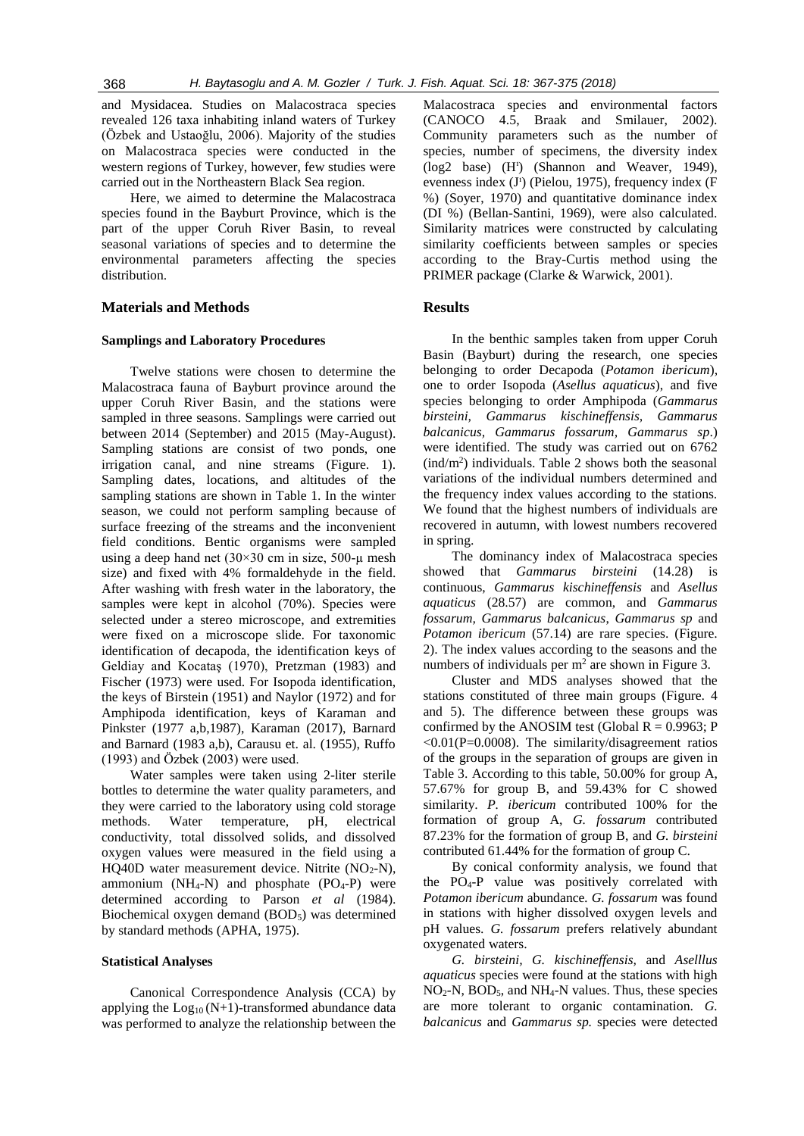and Mysidacea. Studies on Malacostraca species revealed 126 taxa inhabiting inland waters of Turkey (Özbek and Ustaoğlu, 2006). Majority of the studies on Malacostraca species were conducted in the western regions of Turkey, however, few studies were carried out in the Northeastern Black Sea region.

Here, we aimed to determine the Malacostraca species found in the Bayburt Province, which is the part of the upper Coruh River Basin, to reveal seasonal variations of species and to determine the environmental parameters affecting the species distribution.

## **Materials and Methods**

#### **Samplings and Laboratory Procedures**

Twelve stations were chosen to determine the Malacostraca fauna of Bayburt province around the upper Coruh River Basin, and the stations were sampled in three seasons. Samplings were carried out between 2014 (September) and 2015 (May-August). Sampling stations are consist of two ponds, one irrigation canal, and nine streams (Figure. 1). Sampling dates, locations, and altitudes of the sampling stations are shown in Table 1. In the winter season, we could not perform sampling because of surface freezing of the streams and the inconvenient field conditions. Bentic organisms were sampled using a deep hand net  $(30 \times 30 \text{ cm})$  in size, 500-µ mesh size) and fixed with 4% formaldehyde in the field. After washing with fresh water in the laboratory, the samples were kept in alcohol (70%). Species were selected under a stereo microscope, and extremities were fixed on a microscope slide. For taxonomic identification of decapoda, the identification keys of Geldiay and Kocataş (1970), Pretzman (1983) and Fischer (1973) were used. For Isopoda identification, the keys of Birstein (1951) and Naylor (1972) and for Amphipoda identification, keys of Karaman and Pinkster (1977 a,b,1987), Karaman (2017), Barnard and Barnard (1983 a,b), Carausu et. al. (1955), Ruffo (1993) and Özbek (2003) were used.

Water samples were taken using 2-liter sterile bottles to determine the water quality parameters, and they were carried to the laboratory using cold storage methods. Water temperature, pH, electrical conductivity, total dissolved solids, and dissolved oxygen values were measured in the field using a HQ40D water measurement device. Nitrite  $(NO<sub>2</sub>-N)$ , ammonium (NH<sub>4</sub>-N) and phosphate  $(PO<sub>4</sub>-P)$  were determined according to Parson *et al* (1984). Biochemical oxygen demand (BOD<sub>5</sub>) was determined by standard methods (APHA, 1975).

#### **Statistical Analyses**

Canonical Correspondence Analysis (CCA) by applying the  $Log_{10} (N+1)$ -transformed abundance data was performed to analyze the relationship between the Malacostraca species and environmental factors (CANOCO 4.5, Braak and Smilauer, 2002). Community parameters such as the number of species, number of specimens, the diversity index (log2 base) (H<sup>1</sup>) (Shannon and Weaver, 1949), evenness index (J<sup>1</sup>) (Pielou, 1975), frequency index (F %) (Soyer, 1970) and quantitative dominance index (DI %) (Bellan-Santini, 1969), were also calculated. Similarity matrices were constructed by calculating similarity coefficients between samples or species according to the Bray-Curtis method using the PRIMER package (Clarke & Warwick, 2001).

#### **Results**

In the benthic samples taken from upper Coruh Basin (Bayburt) during the research, one species belonging to order Decapoda (*Potamon ibericum*), one to order Isopoda (*Asellus aquaticus*), and five species belonging to order Amphipoda (*Gammarus birsteini, Gammarus kischineffensis, Gammarus balcanicus, Gammarus fossarum, Gammarus sp*.) were identified. The study was carried out on 6762 (ind/m<sup>2</sup> ) individuals. Table 2 shows both the seasonal variations of the individual numbers determined and the frequency index values according to the stations. We found that the highest numbers of individuals are recovered in autumn, with lowest numbers recovered in spring.

The dominancy index of Malacostraca species showed that *Gammarus birsteini* (14.28) is continuous, *Gammarus kischineffensis* and *Asellus aquaticus* (28.57) are common, and *Gammarus fossarum, Gammarus balcanicus*, *Gammarus sp* and *Potamon ibericum* (57.14) are rare species. (Figure. 2). The index values according to the seasons and the numbers of individuals per  $m<sup>2</sup>$  are shown in Figure 3.

Cluster and MDS analyses showed that the stations constituted of three main groups (Figure. 4 and 5). The difference between these groups was confirmed by the ANOSIM test (Global  $R = 0.9963$ ; P  $< 0.01$ (P=0.0008). The similarity/disagreement ratios of the groups in the separation of groups are given in Table 3. According to this table, 50.00% for group A, 57.67% for group B, and 59.43% for C showed similarity. *P. ibericum* contributed 100% for the formation of group A, *G. fossarum* contributed 87.23% for the formation of group B, and *G. birsteini* contributed 61.44% for the formation of group C.

By conical conformity analysis, we found that the  $PO<sub>4</sub>-P$  value was positively correlated with *Potamon ibericum* abundance*. G. fossarum* was found in stations with higher dissolved oxygen levels and pH values. *G. fossarum* prefers relatively abundant oxygenated waters.

*G. birsteini, G. kischineffensis,* and *Aselllus aquaticus* species were found at the stations with high  $NO<sub>2</sub>-N$ ,  $BOD<sub>5</sub>$ , and  $NH<sub>4</sub>-N$  values. Thus, these species are more tolerant to organic contamination. *G. balcanicus* and *Gammarus sp.* species were detected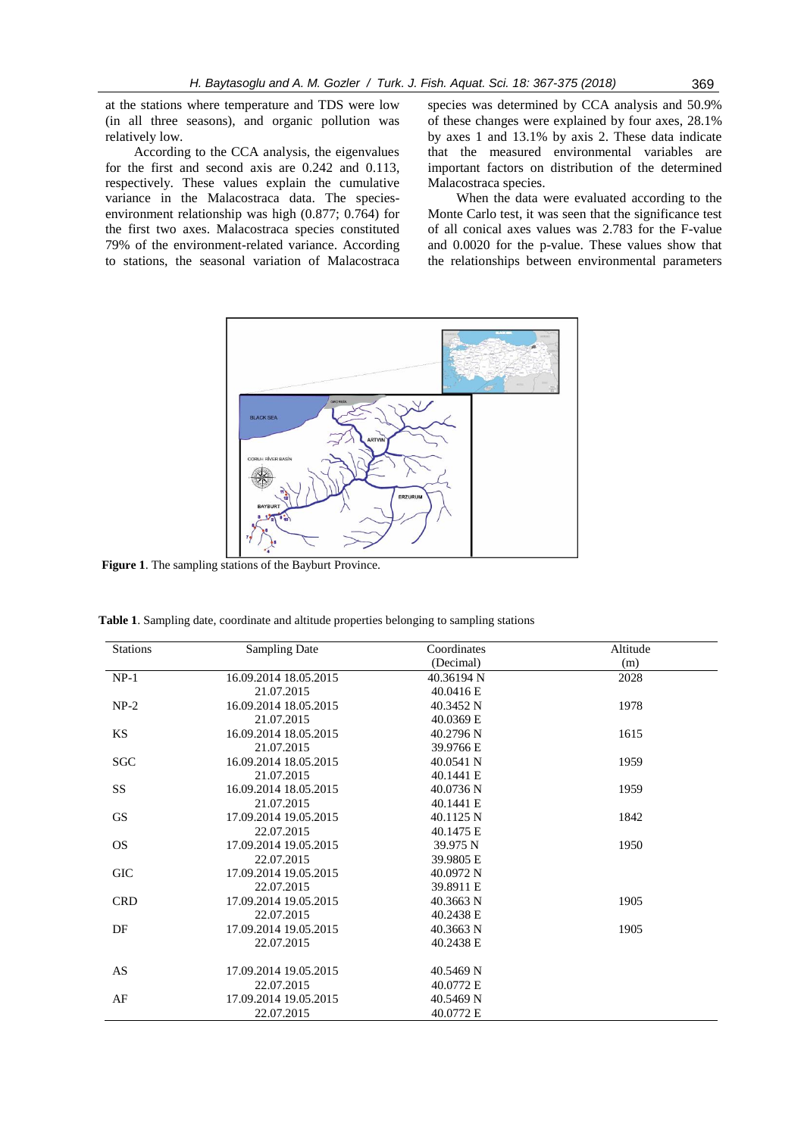at the stations where temperature and TDS were low (in all three seasons), and organic pollution was relatively low.

According to the CCA analysis, the eigenvalues for the first and second axis are 0.242 and 0.113, respectively. These values explain the cumulative variance in the Malacostraca data. The speciesenvironment relationship was high (0.877; 0.764) for the first two axes. Malacostraca species constituted 79% of the environment-related variance. According to stations, the seasonal variation of Malacostraca species was determined by CCA analysis and 50.9% of these changes were explained by four axes, 28.1% by axes 1 and 13.1% by axis 2. These data indicate that the measured environmental variables are important factors on distribution of the determined Malacostraca species.

When the data were evaluated according to the Monte Carlo test, it was seen that the significance test of all conical axes values was 2.783 for the F-value and 0.0020 for the p-value. These values show that the relationships between environmental parameters



 **Figure 1**. The sampling stations of the Bayburt Province.

**Table 1**. Sampling date, coordinate and altitude properties belonging to sampling stations

| <b>Stations</b> | <b>Sampling Date</b>  | Coordinates | Altitude |
|-----------------|-----------------------|-------------|----------|
|                 |                       | (Decimal)   | (m)      |
| $NP-1$          | 16.09.2014 18.05.2015 | 40.36194 N  | 2028     |
|                 | 21.07.2015            | 40.0416 E   |          |
| $NP-2$          | 16.09.2014 18.05.2015 | 40.3452 N   | 1978     |
|                 | 21.07.2015            | 40.0369 E   |          |
| KS              | 16.09.2014 18.05.2015 | 40.2796 N   | 1615     |
|                 | 21.07.2015            | 39.9766 E   |          |
| <b>SGC</b>      | 16.09.2014 18.05.2015 | 40.0541 N   | 1959     |
|                 | 21.07.2015            | 40.1441 E   |          |
| SS              | 16.09.2014 18.05.2015 | 40.0736 N   | 1959     |
|                 | 21.07.2015            | 40.1441 E   |          |
| <b>GS</b>       | 17.09.2014 19.05.2015 | 40.1125 N   | 1842     |
|                 | 22.07.2015            | 40.1475 E   |          |
| <b>OS</b>       | 17.09.2014 19.05.2015 | 39.975 N    | 1950     |
|                 | 22.07.2015            | 39.9805 E   |          |
| <b>GIC</b>      | 17.09.2014 19.05.2015 | 40.0972 N   |          |
|                 | 22.07.2015            | 39.8911 E   |          |
| <b>CRD</b>      | 17.09.2014 19.05.2015 | 40.3663 N   | 1905     |
|                 | 22.07.2015            | 40.2438 E   |          |
| DF              | 17.09.2014 19.05.2015 | 40.3663 N   | 1905     |
|                 | 22.07.2015            | 40.2438 E   |          |
| AS              | 17.09.2014 19.05.2015 | 40.5469 N   |          |
|                 | 22.07.2015            | 40.0772 E   |          |
| AF              | 17.09.2014 19.05.2015 | 40.5469 N   |          |
|                 | 22.07.2015            | 40.0772 E   |          |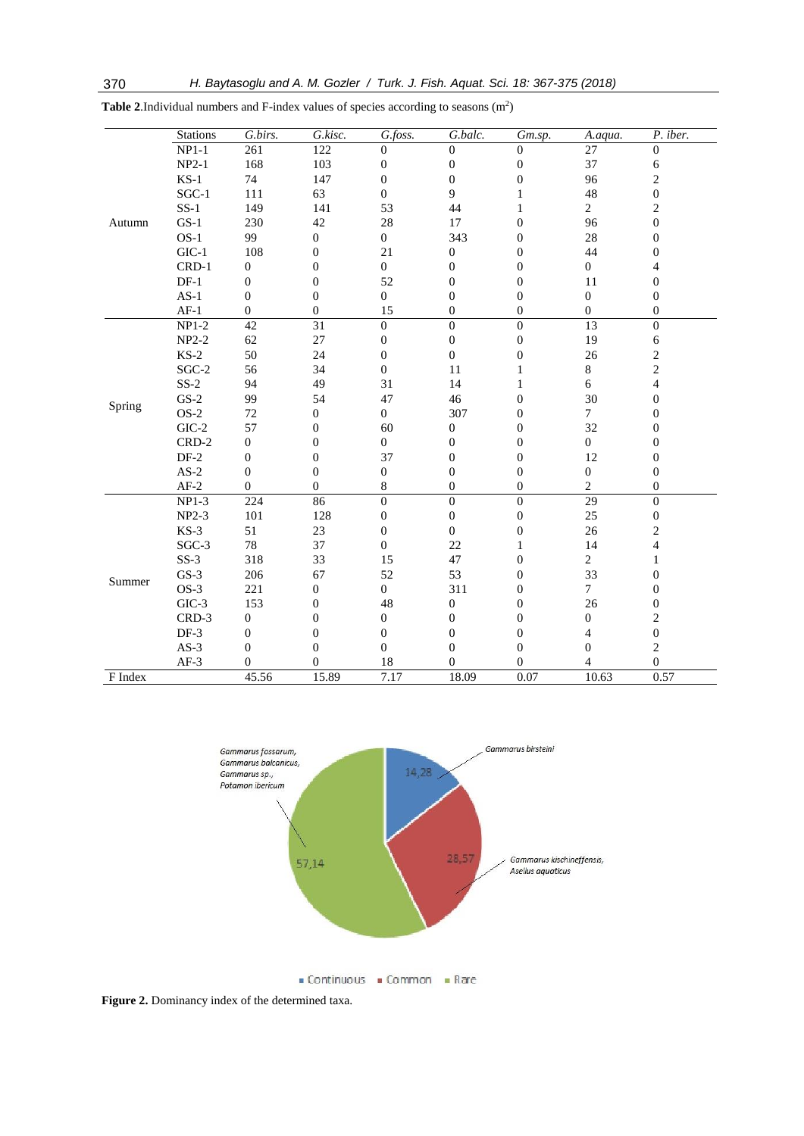|         | <b>Stations</b> | G.birs.          | G.kisc.          | G.foss.          | G.balc.          | Gm.sp.           | A.aqua.          | P. iber.                |
|---------|-----------------|------------------|------------------|------------------|------------------|------------------|------------------|-------------------------|
|         | $NP1-1$         | 261              | 122              | $\theta$         | $\Omega$         | $\Omega$         | 27               | $\Omega$                |
|         | $NP2-1$         | 168              | 103              | $\boldsymbol{0}$ | $\boldsymbol{0}$ | $\boldsymbol{0}$ | 37               | $\epsilon$              |
|         | $KS-1$          | 74               | 147              | $\boldsymbol{0}$ | $\boldsymbol{0}$ | $\boldsymbol{0}$ | 96               | $\sqrt{2}$              |
|         | $SGC-1$         | 111              | 63               | $\boldsymbol{0}$ | 9                | 1                | 48               | $\boldsymbol{0}$        |
|         | $SS-1$          | 149              | 141              | 53               | 44               | 1                | $\overline{2}$   | $\,2$                   |
| Autumn  | $GS-1$          | 230              | 42               | 28               | $17\,$           | $\overline{0}$   | 96               | $\boldsymbol{0}$        |
|         | $OS-1$          | 99               | $\boldsymbol{0}$ | $\boldsymbol{0}$ | 343              | $\boldsymbol{0}$ | $28\,$           | $\mathbf{0}$            |
|         | $GIC-1$         | 108              | 0                | 21               | $\mathbf{0}$     | 0                | 44               | $\mathbf{0}$            |
|         | $CRD-1$         | $\boldsymbol{0}$ | $\boldsymbol{0}$ | $\boldsymbol{0}$ | $\boldsymbol{0}$ | $\overline{0}$   | $\overline{0}$   | $\overline{4}$          |
|         | $DF-1$          | $\boldsymbol{0}$ | $\boldsymbol{0}$ | 52               | $\boldsymbol{0}$ | $\boldsymbol{0}$ | 11               | $\mathbf{0}$            |
|         | $AS-1$          | $\mathbf{0}$     | $\theta$         | $\boldsymbol{0}$ | $\boldsymbol{0}$ | $\theta$         | $\mathbf{0}$     | $\mathbf{0}$            |
|         | $AF-1$          | $\mathbf{0}$     | $\mathbf{0}$     | 15               | $\boldsymbol{0}$ | $\theta$         | $\mathbf{0}$     | $\mathbf{0}$            |
|         | $NP1-2$         | 42               | $\overline{31}$  | $\boldsymbol{0}$ | $\boldsymbol{0}$ | $\boldsymbol{0}$ | 13               | $\mathbf{0}$            |
|         | $NP2-2$         | 62               | $27\,$           | $\boldsymbol{0}$ | $\boldsymbol{0}$ | $\overline{0}$   | 19               | 6                       |
|         | $KS-2$          | 50               | 24               | $\boldsymbol{0}$ | $\boldsymbol{0}$ | $\boldsymbol{0}$ | 26               | $\sqrt{2}$              |
|         | $SGC-2$         | 56               | 34               | $\boldsymbol{0}$ | 11               | 1                | $8\,$            | $\sqrt{2}$              |
|         | $SS-2$          | 94               | 49               | 31               | 14               | $\mathbf{1}$     | 6                | $\overline{\mathbf{4}}$ |
| Spring  | $GS-2$          | 99               | 54               | 47               | 46               | $\boldsymbol{0}$ | 30               | $\boldsymbol{0}$        |
|         | $OS-2$          | $72\,$           | $\boldsymbol{0}$ | $\boldsymbol{0}$ | 307              | $\boldsymbol{0}$ | $\tau$           | $\mathbf{0}$            |
|         | $GIC-2$         | 57               | $\boldsymbol{0}$ | 60               | $\boldsymbol{0}$ | $\boldsymbol{0}$ | 32               | $\boldsymbol{0}$        |
|         | $CRD-2$         | $\boldsymbol{0}$ | $\boldsymbol{0}$ | $\overline{0}$   | $\boldsymbol{0}$ | $\overline{0}$   | $\overline{0}$   | $\mathbf{0}$            |
|         | $DF-2$          | $\boldsymbol{0}$ | $\mathbf{0}$     | 37               | $\boldsymbol{0}$ | $\boldsymbol{0}$ | 12               | $\boldsymbol{0}$        |
|         | $AS-2$          | $\overline{0}$   | $\mathbf{0}$     | $\boldsymbol{0}$ | $\boldsymbol{0}$ | $\boldsymbol{0}$ | $\boldsymbol{0}$ | $\boldsymbol{0}$        |
|         | $AF-2$          | $\boldsymbol{0}$ | $\mathbf{0}$     | 8                | $\boldsymbol{0}$ | $\boldsymbol{0}$ | $\overline{c}$   | $\boldsymbol{0}$        |
|         | NP1-3           | 224              | 86               | $\boldsymbol{0}$ | $\boldsymbol{0}$ | $\boldsymbol{0}$ | $\overline{29}$  | $\Omega$                |
|         | $NP2-3$         | 101              | 128              | $\boldsymbol{0}$ | $\boldsymbol{0}$ | $\boldsymbol{0}$ | 25               | $\boldsymbol{0}$        |
|         | $KS-3$          | 51               | 23               | $\boldsymbol{0}$ | $\boldsymbol{0}$ | $\boldsymbol{0}$ | 26               | $\,2$                   |
|         | SGC-3           | $78\,$           | 37               | $\overline{0}$   | 22               | 1                | 14               | 4                       |
|         | $SS-3$          | 318              | 33               | 15               | 47               | $\overline{0}$   | $\overline{c}$   | $\mathbf{1}$            |
| Summer  | $GS-3$          | 206              | 67               | 52               | 53               | $\overline{0}$   | 33               | $\boldsymbol{0}$        |
|         | $OS-3$          | 221              | $\boldsymbol{0}$ | $\boldsymbol{0}$ | 311              | $\boldsymbol{0}$ | $\tau$           | $\mathbf{0}$            |
|         | $GIC-3$         | 153              | 0                | 48               | $\boldsymbol{0}$ | $\overline{0}$   | 26               | $\mathbf{0}$            |
|         | CRD-3           | $\boldsymbol{0}$ | $\boldsymbol{0}$ | $\boldsymbol{0}$ | $\boldsymbol{0}$ | $\overline{0}$   | $\boldsymbol{0}$ | $\sqrt{2}$              |
|         | DF-3            | $\boldsymbol{0}$ | $\boldsymbol{0}$ | $\boldsymbol{0}$ | $\boldsymbol{0}$ | $\boldsymbol{0}$ | $\overline{4}$   | $\boldsymbol{0}$        |
|         | $AS-3$          | $\mathbf{0}$     | $\theta$         | $\boldsymbol{0}$ | $\boldsymbol{0}$ | $\theta$         | $\mathbf{0}$     | $\sqrt{2}$              |
|         | $AF-3$          | 0                | $\boldsymbol{0}$ | 18               | $\boldsymbol{0}$ | $\boldsymbol{0}$ | 4                | $\boldsymbol{0}$        |
| F Index |                 | 45.56            | 15.89            | 7.17             | 18.09            | 0.07             | 10.63            | 0.57                    |

**Table 2.** Individual numbers and F-index values of species according to seasons  $(m^2)$ 



Figure 2. Dominancy index of the determined taxa.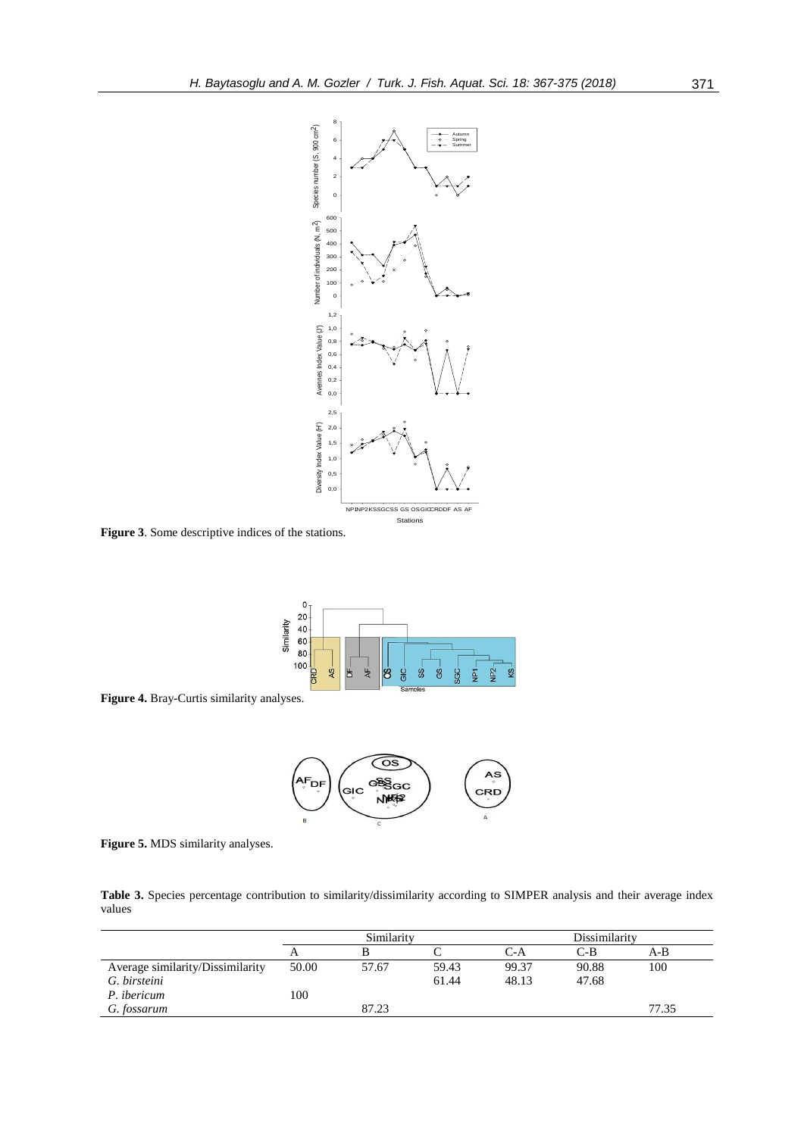

**Figure 3**. Some descriptive indices of the stations.



**Figure 4.** Bray-Curtis similarity analyses.



**Figure 5.** MDS similarity analyses.

**Table 3.** Species percentage contribution to similarity/dissimilarity according to SIMPER analysis and their average index values

|                                  |       | Similarity |       |       | Dissimilarity |       |  |
|----------------------------------|-------|------------|-------|-------|---------------|-------|--|
|                                  |       |            |       | C-A   | C-B           | A-B   |  |
| Average similarity/Dissimilarity | 50.00 | 57.67      | 59.43 | 99.37 | 90.88         | 100   |  |
| G. birsteini                     |       |            | 61.44 | 48.13 | 47.68         |       |  |
| P. ibericum                      | 100   |            |       |       |               |       |  |
| G. fossarum                      |       | 87.23      |       |       |               | 77.35 |  |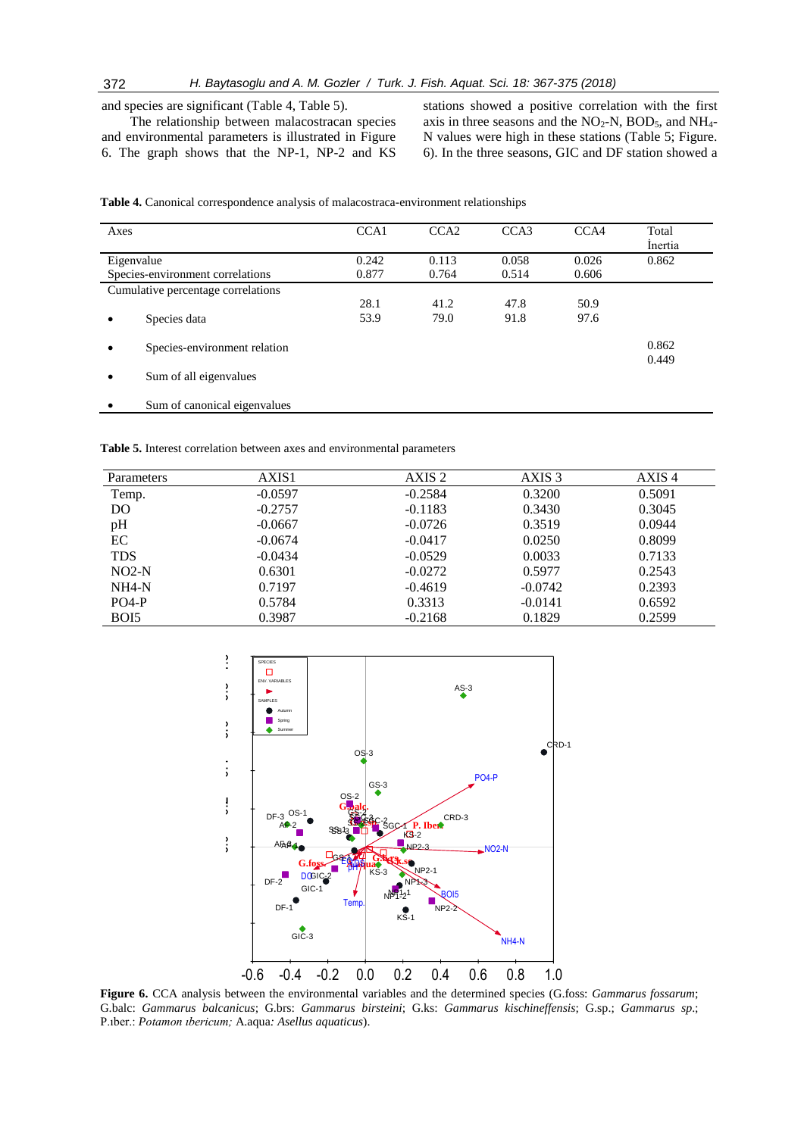# 372 *H. Baytasoglu and A. M. Gozler / Turk. J. Fish. Aquat. Sci. 18: 367-375 (2018)*

and species are significant (Table 4, Table 5).

The relationship between malacostracan species and environmental parameters is illustrated in Figure 6. The graph shows that the NP-1, NP-2 and KS stations showed a positive correlation with the first axis in three seasons and the  $NO<sub>2</sub>-N$ , BOD<sub>5</sub>, and NH<sub>4</sub>-N values were high in these stations (Table 5; Figure. 6). In the three seasons, GIC and DF station showed a

| Axes       |                                    | CCA1  | CCA <sub>2</sub> | CCA <sub>3</sub> | CCA4  | Total<br>Inertia |
|------------|------------------------------------|-------|------------------|------------------|-------|------------------|
| Eigenvalue |                                    | 0.242 | 0.113            | 0.058            | 0.026 | 0.862            |
|            | Species-environment correlations   | 0.877 | 0.764            | 0.514            | 0.606 |                  |
|            | Cumulative percentage correlations |       |                  |                  |       |                  |
|            |                                    | 28.1  | 41.2             | 47.8             | 50.9  |                  |
|            | Species data                       | 53.9  | 79.0             | 91.8             | 97.6  |                  |
|            | Species-environment relation       |       |                  |                  |       | 0.862<br>0.449   |
|            | Sum of all eigenvalues             |       |                  |                  |       |                  |
|            | Sum of canonical eigenvalues       |       |                  |                  |       |                  |

**Table 4.** Canonical correspondence analysis of malacostraca-environment relationships

**Table 5.** Interest correlation between axes and environmental parameters

| Parameters | AXIS1     | AXIS 2    | AXIS <sub>3</sub> | AXIS <sub>4</sub> |
|------------|-----------|-----------|-------------------|-------------------|
| Temp.      | $-0.0597$ | $-0.2584$ | 0.3200            | 0.5091            |
| DO         | $-0.2757$ | $-0.1183$ | 0.3430            | 0.3045            |
| pH         | $-0.0667$ | $-0.0726$ | 0.3519            | 0.0944            |
| EC         | $-0.0674$ | $-0.0417$ | 0.0250            | 0.8099            |
| <b>TDS</b> | $-0.0434$ | $-0.0529$ | 0.0033            | 0.7133            |
| $NO2-N$    | 0.6301    | $-0.0272$ | 0.5977            | 0.2543            |
| $NH4-N$    | 0.7197    | $-0.4619$ | $-0.0742$         | 0.2393            |
| $PO4-P$    | 0.5784    | 0.3313    | $-0.0141$         | 0.6592            |
| BOI5       | 0.3987    | $-0.2168$ | 0.1829            | 0.2599            |
|            |           |           |                   |                   |



**Figure 6.** CCA analysis between the environmental variables and the determined species (G.foss: *Gammarus fossarum*; G.balc: *Gammarus balcanicus*; G.brs: *Gammarus birsteini*; G.ks: *Gammarus kischineffensis*; G.sp.; *Gammarus sp*.; P.ıber.: *Potamon ıbericum;* A.aqua*: Asellus aquaticus*).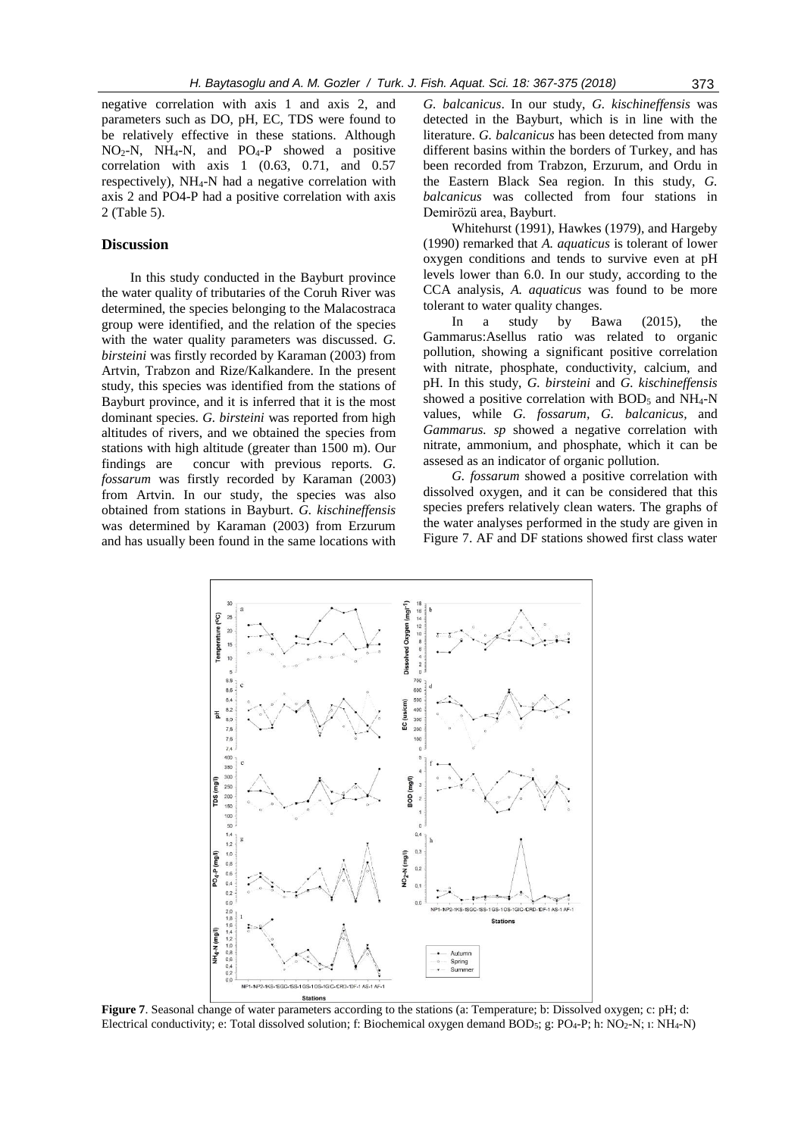negative correlation with axis 1 and axis 2, and parameters such as DO, pH, EC, TDS were found to be relatively effective in these stations. Although NO2-N, NH4-N, and PO4-P showed a positive correlation with axis 1 (0.63, 0.71, and 0.57 respectively), NH4-N had a negative correlation with axis 2 and PO4-P had a positive correlation with axis 2 (Table 5).

## **Discussion**

In this study conducted in the Bayburt province the water quality of tributaries of the Coruh River was determined, the species belonging to the Malacostraca group were identified, and the relation of the species with the water quality parameters was discussed. *G. birsteini* was firstly recorded by Karaman (2003) from Artvin, Trabzon and Rize/Kalkandere. In the present study, this species was identified from the stations of Bayburt province, and it is inferred that it is the most dominant species. *G. birsteini* was reported from high altitudes of rivers, and we obtained the species from stations with high altitude (greater than 1500 m). Our findings are concur with previous reports. *G. fossarum* was firstly recorded by Karaman (2003) from Artvin. In our study, the species was also obtained from stations in Bayburt. *G. kischineffensis* was determined by Karaman (2003) from Erzurum and has usually been found in the same locations with *G. balcanicus*. In our study, *G. kischineffensis* was detected in the Bayburt, which is in line with the literature. *G. balcanicus* has been detected from many different basins within the borders of Turkey, and has been recorded from Trabzon, Erzurum, and Ordu in the Eastern Black Sea region. In this study, *G. balcanicus* was collected from four stations in Demirözü area, Bayburt.

Whitehurst (1991), Hawkes (1979), and Hargeby (1990) remarked that *A. aquaticus* is tolerant of lower oxygen conditions and tends to survive even at pH levels lower than 6.0. In our study, according to the CCA analysis, *A. aquaticus* was found to be more tolerant to water quality changes.

In a study by Bawa (2015), the Gammarus:Asellus ratio was related to organic pollution, showing a significant positive correlation with nitrate, phosphate, conductivity, calcium, and pH. In this study, *G. birsteini* and *G. kischineffensis* showed a positive correlation with  $BOD<sub>5</sub>$  and NH<sub>4</sub>-N values, while *G. fossarum, G. balcanicus,* and *Gammarus. sp* showed a negative correlation with nitrate, ammonium, and phosphate, which it can be assesed as an indicator of organic pollution.

*G. fossarum* showed a positive correlation with dissolved oxygen, and it can be considered that this species prefers relatively clean waters. The graphs of the water analyses performed in the study are given in Figure 7. AF and DF stations showed first class water



**Figure 7**. Seasonal change of water parameters according to the stations (a: Temperature; b: Dissolved oxygen; c: pH; d: Electrical conductivity; e: Total dissolved solution; f: Biochemical oxygen demand BOD5; g: PO4-P; h: NO2-N; ı: NH4-N)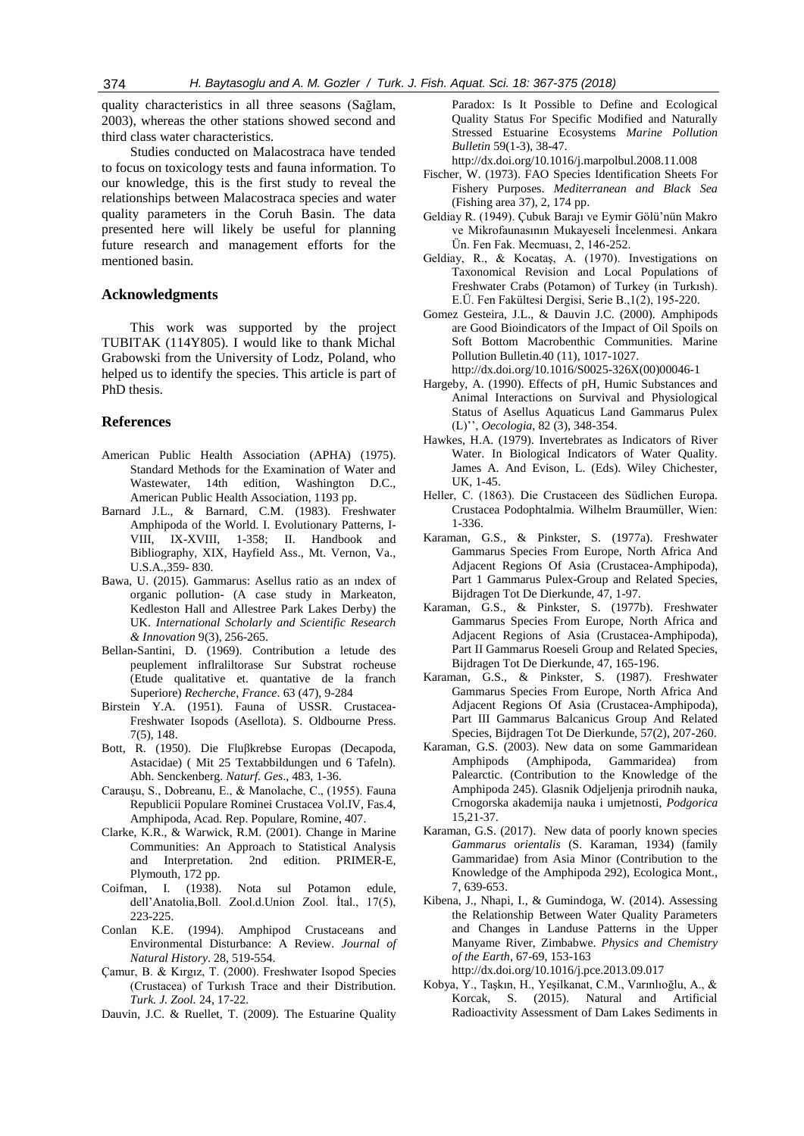quality characteristics in all three seasons (Sağlam, 2003), whereas the other stations showed second and third class water characteristics.

Studies conducted on Malacostraca have tended to focus on toxicology tests and fauna information. To our knowledge, this is the first study to reveal the relationships between Malacostraca species and water quality parameters in the Coruh Basin. The data presented here will likely be useful for planning future research and management efforts for the mentioned basin.

## **Acknowledgments**

This work was supported by the project TUBITAK (114Y805). I would like to thank Michal Grabowski from the University of Lodz, Poland, who helped us to identify the species. This article is part of PhD thesis.

# **References**

- American Public Health Association (APHA) (1975). Standard Methods for the Examination of Water and Wastewater, 14th edition, Washington D.C., American Public Health Association, 1193 pp.
- Barnard J.L., & Barnard, C.M. (1983). Freshwater Amphipoda of the World. I. Evolutionary Patterns, I-VIII, IX-XVIII, 1-358; II. Handbook and Bibliography, XIX, Hayfield Ass., Mt. Vernon, Va., U.S.A.,359- 830.
- Bawa, U. (2015). Gammarus: Asellus ratio as an ındex of organic pollution- (A case study in Markeaton, Kedleston Hall and Allestree Park Lakes Derby) the UK. *International Scholarly and Scientific Research & Innovation* 9(3), 256-265.
- Bellan-Santini, D. (1969). Contribution a letude des peuplement inflraliltorase Sur Substrat rocheuse (Etude qualitative et. quantative de la franch Superiore) *Recherche, France*. 63 (47), 9-284
- Birstein Y.A. (1951). Fauna of USSR. Crustacea-Freshwater Isopods (Asellota). S. Oldbourne Press. 7(5), 148.
- Bott, R. (1950). Die Fluβkrebse Europas (Decapoda, Astacidae) ( Mit 25 Textabbildungen und 6 Tafeln). Abh. Senckenberg. *Naturf. Ges*., 483, 1-36.
- Carauşu, S., Dobreanu, E., & Manolache, C., (1955). Fauna Republicii Populare Rominei Crustacea Vol.IV, Fas.4, Amphipoda, Acad. Rep. Populare, Romine, 407.
- Clarke, K.R., & Warwick, R.M. (2001). Change in Marine Communities: An Approach to Statistical Analysis and Interpretation. 2nd edition. PRIMER-E, Plymouth, 172 pp.
- Coifman, I. (1938). Nota sul Potamon edule, dell'Anatolia,Boll. Zool.d.Union Zool. İtal., 17(5), 223-225.
- Conlan K.E. (1994). Amphipod Crustaceans and Environmental Disturbance: A Review. *Journal of Natural History*. 28, 519-554.
- Çamur, B. & Kırgız, T. (2000). Freshwater Isopod Species (Crustacea) of Turkısh Trace and their Distribution. *Turk. J. Zool.* 24, 17-22.

Dauvin, J.C. & Ruellet, T. (2009). The Estuarine Quality

Paradox: Is It Possible to Define and Ecological Quality Status For Specific Modified and Naturally Stressed Estuarine Ecosystems *Marine Pollution Bulletin* 59(1-3), 38-47.

http://dx.doi.org/10.1016/j.marpolbul.2008.11.008

- Fischer, W. (1973). FAO Species Identification Sheets For Fishery Purposes. *Mediterranean and Black Sea* (Fishing area 37), 2, 174 pp.
- Geldiay R. (1949). Çubuk Barajı ve Eymir Gölü'nün Makro ve Mikrofaunasının Mukayeseli İncelenmesi. Ankara Ün. Fen Fak. Mecmuası, 2, 146-252.
- Geldiay, R., & Kocataş, A. (1970). Investigations on Taxonomical Revision and Local Populations of Freshwater Crabs (Potamon) of Turkey (in Turkısh). E.Ü. Fen Fakültesi Dergisi, Serie B.,1(2), 195-220.
- Gomez Gesteira, J.L., & Dauvin J.C. (2000). Amphipods are Good Bioindicators of the Impact of Oil Spoils on Soft Bottom Macrobenthic Communities. Marine Pollution Bulletin.40 (11), 1017-1027. http://dx.doi.org/10.1016/S0025-326X(00)00046-1
- Hargeby, A. (1990). Effects of pH, Humic Substances and Animal Interactions on Survival and Physiological Status of Asellus Aquaticus Land Gammarus Pulex (L)'', *Oecologia*, 82 (3), 348-354.
- Hawkes, H.A. (1979). Invertebrates as Indicators of River Water. In Biological Indicators of Water Quality. James A. And Evison, L. (Eds). Wiley Chichester, UK, 1-45.
- Heller, C. (1863). Die Crustaceen des Südlichen Europa. Crustacea Podophtalmia. Wilhelm Braumüller, Wien: 1-336.
- Karaman, G.S., & Pinkster, S. (1977a). Freshwater Gammarus Species From Europe, North Africa And Adjacent Regions Of Asia (Crustacea-Amphipoda), Part 1 Gammarus Pulex-Group and Related Species, Bijdragen Tot De Dierkunde, 47, 1-97.
- Karaman, G.S., & Pinkster, S. (1977b). Freshwater Gammarus Species From Europe, North Africa and Adjacent Regions of Asia (Crustacea-Amphipoda), Part II Gammarus Roeseli Group and Related Species, Bijdragen Tot De Dierkunde, 47, 165-196.
- Karaman, G.S., & Pinkster, S. (1987). Freshwater Gammarus Species From Europe, North Africa And Adjacent Regions Of Asia (Crustacea-Amphipoda), Part III Gammarus Balcanicus Group And Related Species, Bijdragen Tot De Dierkunde, 57(2), 207-260.
- Karaman, G.S. (2003). New data on some Gammaridean Amphipods (Amphipoda, Gammaridea) from Palearctic. (Contribution to the Knowledge of the Amphipoda 245). Glasnik Odjeljenja prirodnih nauka, Crnogorska akademija nauka i umjetnosti, *Podgorica* 15,21-37.
- Karaman, G.S. (2017). New data of poorly known species *Gammarus* o*rientalis* (S. Karaman, 1934) (family Gammaridae) from Asia Minor (Contribution to the Knowledge of the Amphipoda 292), Ecologica Mont., 7, 639-653.
- Kibena, J., Nhapi, I., & Gumindoga, W. (2014). Assessing the Relationship Between Water Quality Parameters and Changes in Landuse Patterns in the Upper Manyame River, Zimbabwe. *Physics and Chemistry of the Earth*, 67-69, 153-163 http://dx.doi.org/10.1016/j.pce.2013.09.017
- Kobya, Y., Taşkın, H., Yeşilkanat, C.M., Varınlıoğlu, A., & Korcak, S. (2015). Natural and Artificial Radioactivity Assessment of Dam Lakes Sediments in